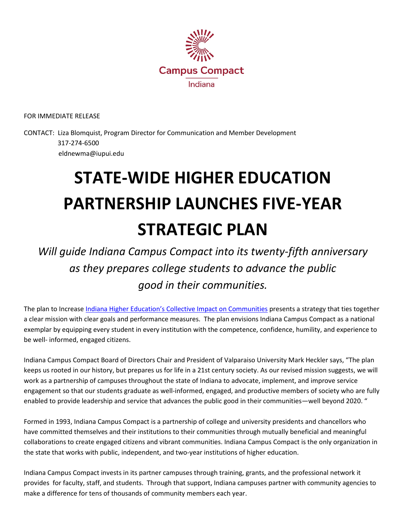

FOR IMMEDIATE RELEASE

CONTACT: Liza Blomquist, Program Director for Communication and Member Development 317-274-6500 eldnewma@iupui.edu

## **STATE-WIDE HIGHER EDUCATION PARTNERSHIP LAUNCHES FIVE-YEAR STRATEGIC PLAN**

*Will guide Indiana Campus Compact into its twenty-fifth anniversary as they prepares college students to advance the public good in their communities.* 

The plan to Increase [Indiana Higher Education's Collective Impact on Communities](http://indianacampuscompact.org/images/Strategic_Plan_.pdf) presents a strategy that ties together a clear mission with clear goals and performance measures. The plan envisions Indiana Campus Compact as a national exemplar by equipping every student in every institution with the competence, confidence, humility, and experience to be well- informed, engaged citizens.

Indiana Campus Compact Board of Directors Chair and President of Valparaiso University Mark Heckler says, "The plan keeps us rooted in our history, but prepares us for life in a 21st century society. As our revised mission suggests, we will work as a partnership of campuses throughout the state of Indiana to advocate, implement, and improve service engagement so that our students graduate as well-informed, engaged, and productive members of society who are fully enabled to provide leadership and service that advances the public good in their communities—well beyond 2020. "

Formed in 1993, Indiana Campus Compact is a partnership of college and university presidents and chancellors who have committed themselves and their institutions to their communities through mutually beneficial and meaningful collaborations to create engaged citizens and vibrant communities. Indiana Campus Compact is the only organization in the state that works with public, independent, and two-year institutions of higher education.

Indiana Campus Compact invests in its partner campuses through training, grants, and the professional network it provides for faculty, staff, and students. Through that support, Indiana campuses partner with community agencies to make a difference for tens of thousands of community members each year.